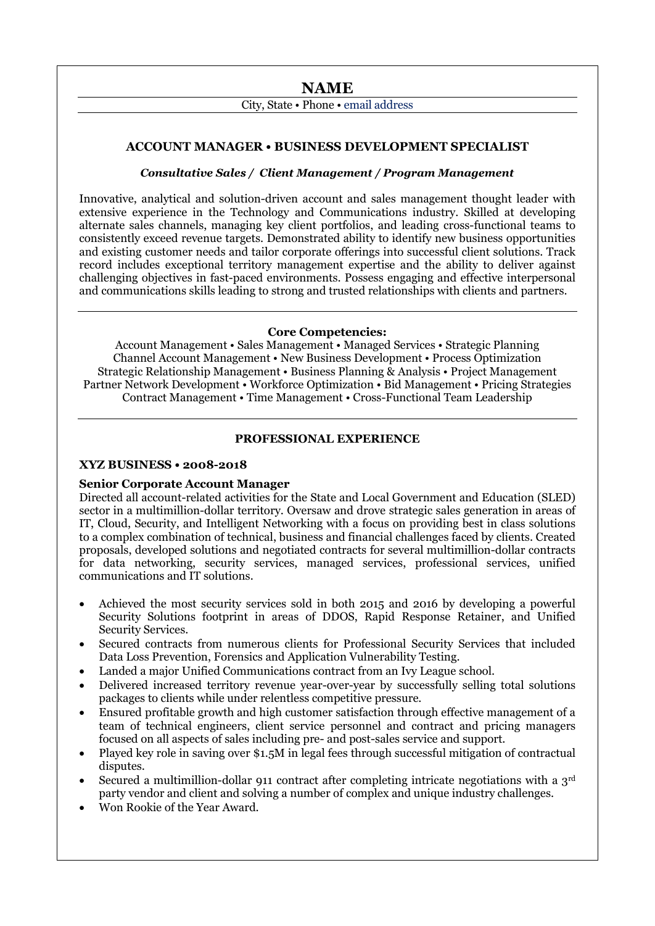# **NAME**

# City, State • Phone • email address

## **ACCOUNT MANAGER • BUSINESS DEVELOPMENT SPECIALIST**

## *Consultative Sales / Client Management / Program Management*

Innovative, analytical and solution-driven account and sales management thought leader with extensive experience in the Technology and Communications industry. Skilled at developing alternate sales channels, managing key client portfolios, and leading cross-functional teams to consistently exceed revenue targets. Demonstrated ability to identify new business opportunities and existing customer needs and tailor corporate offerings into successful client solutions. Track record includes exceptional territory management expertise and the ability to deliver against challenging objectives in fast-paced environments. Possess engaging and effective interpersonal and communications skills leading to strong and trusted relationships with clients and partners.

#### **Core Competencies:**

Account Management • Sales Management • Managed Services • Strategic Planning Channel Account Management • New Business Development • Process Optimization Strategic Relationship Management • Business Planning & Analysis • Project Management Partner Network Development • Workforce Optimization • Bid Management • Pricing Strategies Contract Management • Time Management • Cross-Functional Team Leadership

## **PROFESSIONAL EXPERIENCE**

#### **XYZ BUSINESS • 2008-2018**

## **Senior Corporate Account Manager**

Directed all account-related activities for the State and Local Government and Education (SLED) sector in a multimillion-dollar territory. Oversaw and drove strategic sales generation in areas of IT, Cloud, Security, and Intelligent Networking with a focus on providing best in class solutions to a complex combination of technical, business and financial challenges faced by clients. Created proposals, developed solutions and negotiated contracts for several multimillion-dollar contracts for data networking, security services, managed services, professional services, unified communications and IT solutions.

- Achieved the most security services sold in both 2015 and 2016 by developing a powerful Security Solutions footprint in areas of DDOS, Rapid Response Retainer, and Unified Security Services.
- Secured contracts from numerous clients for Professional Security Services that included Data Loss Prevention, Forensics and Application Vulnerability Testing.
- Landed a major Unified Communications contract from an Ivy League school.
- Delivered increased territory revenue year-over-year by successfully selling total solutions packages to clients while under relentless competitive pressure.
- Ensured profitable growth and high customer satisfaction through effective management of a team of technical engineers, client service personnel and contract and pricing managers focused on all aspects of sales including pre- and post-sales service and support.
- Played key role in saving over \$1.5M in legal fees through successful mitigation of contractual disputes.
- Secured a multimillion-dollar 911 contract after completing intricate negotiations with a  $3<sup>rd</sup>$ party vendor and client and solving a number of complex and unique industry challenges.

e de la provincia de la constancia de la constancia de la constancia de la constancia de la constancia de la c<br>Constancia de la constancia de la constancia de la constancia de la constancia de la constancia de la constanc

• Won Rookie of the Year Award.